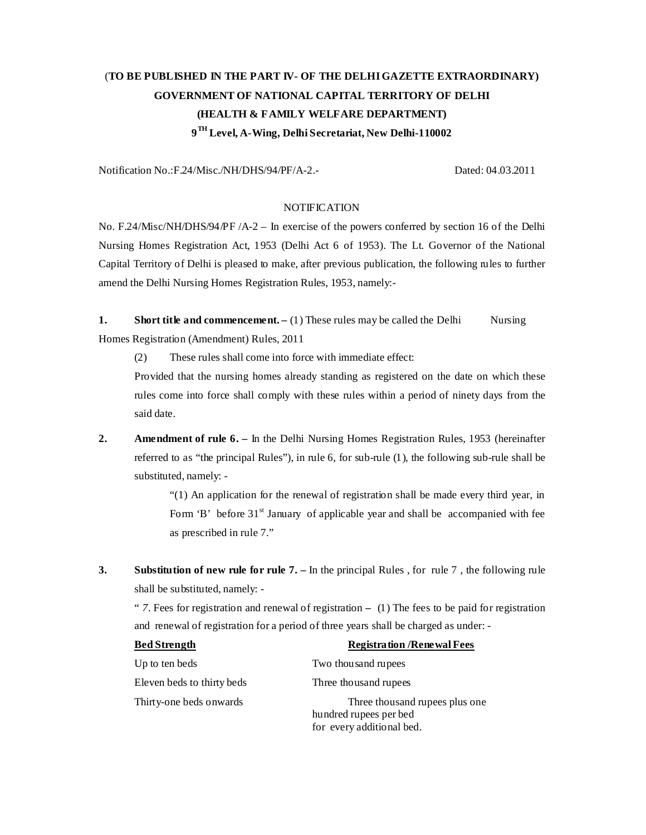# (**TO BE PUBLISHED IN THE PART IV- OF THE DELHI GAZETTE EXTRAORDINARY) GOVERNMENT OF NATIONAL CAPITAL TERRITORY OF DELHI (HEALTH & FAMILY WELFARE DEPARTMENT) 9 TH Level, A-Wing, Delhi Secretariat, New Delhi-110002**

Notification No.:F.24/Misc./NH/DHS/94/PF/A-2.- Dated: 04.03.2011

#### **NOTIFICATION**

No. F.24/Misc/NH/DHS/94/PF /A-2 – In exercise of the powers conferred by section 16 of the Delhi Nursing Homes Registration Act, 1953 (Delhi Act 6 of 1953). The Lt. Governor of the National Capital Territory of Delhi is pleased to make, after previous publication, the following rules to further amend the Delhi Nursing Homes Registration Rules, 1953, namely:-

**1.** Short title and commencement. – (1) These rules may be called the Delhi Nursing Homes Registration (Amendment) Rules, 2011

(2) These rules shall come into force with immediate effect:

Provided that the nursing homes already standing as registered on the date on which these rules come into force shall comply with these rules within a period of ninety days from the said date.

**2. Amendment of rule 6.** – In the Delhi Nursing Homes Registration Rules, 1953 (hereinafter referred to as "the principal Rules"), in rule 6, for sub-rule (1), the following sub-rule shall be substituted, namely: -

> "(1) An application for the renewal of registration shall be made every third year, in Form 'B' before  $31<sup>st</sup>$  January of applicable year and shall be accompanied with fee as prescribed in rule 7."

**3.** Substitution of new rule for rule 7. – In the principal Rules , for rule 7, the following rule shall be substituted, namely: -

" *7*. Fees for registration and renewal of registration **–** (1) The fees to be paid for registration and renewal of registration for a period of three years shall be charged as under: -

| <b>Bed Strength</b>        | <b>Registration / Renewal Fees</b>                       |
|----------------------------|----------------------------------------------------------|
| Up to ten beds             | Two thousand rupees                                      |
| Eleven beds to thirty beds | Three thousand rupees                                    |
| Thirty-one beds onwards    | Three thousand rupees plus one<br>hundred rupees per bed |
|                            | for every additional bed.                                |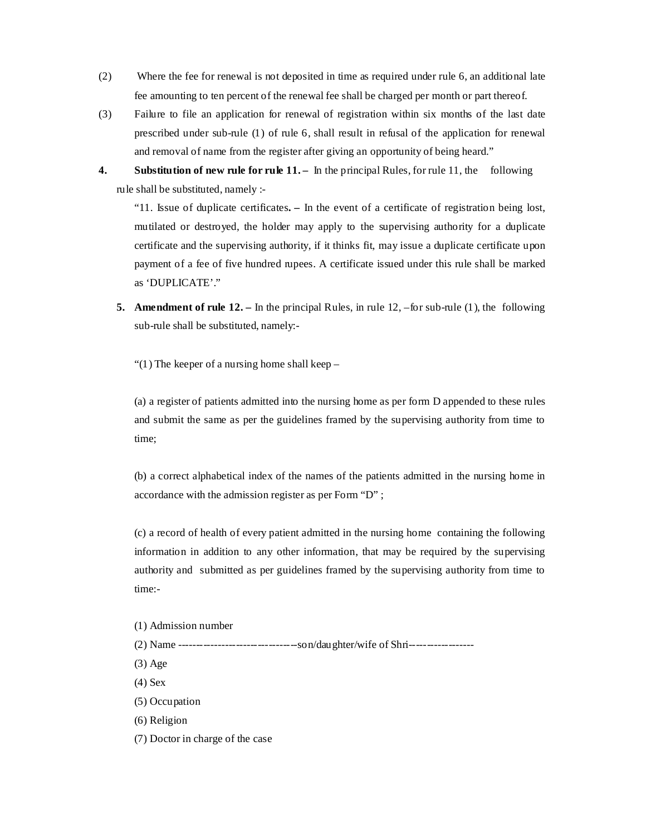- (2) Where the fee for renewal is not deposited in time as required under rule 6, an additional late fee amounting to ten percent of the renewal fee shall be charged per month or part thereof.
- (3) Failure to file an application for renewal of registration within six months of the last date prescribed under sub-rule (1) of rule 6, shall result in refusal of the application for renewal and removal of name from the register after giving an opportunity of being heard."
- **4.** Substitution of new rule for rule 11. In the principal Rules, for rule 11, the following rule shall be substituted, namely :-

"11. Issue of duplicate certificates**. –** In the event of a certificate of registration being lost, mutilated or destroyed, the holder may apply to the supervising authority for a duplicate certificate and the supervising authority, if it thinks fit, may issue a duplicate certificate upon payment of a fee of five hundred rupees. A certificate issued under this rule shall be marked as 'DUPLICATE'."

**5. Amendment of rule 12.** – In the principal Rules, in rule 12, –for sub-rule (1), the following sub-rule shall be substituted, namely:-

"(1) The keeper of a nursing home shall keep –

(a) a register of patients admitted into the nursing home as per form D appended to these rules and submit the same as per the guidelines framed by the supervising authority from time to time;

(b) a correct alphabetical index of the names of the patients admitted in the nursing home in accordance with the admission register as per Form "D" ;

(c) a record of health of every patient admitted in the nursing home containing the following information in addition to any other information, that may be required by the supervising authority and submitted as per guidelines framed by the supervising authority from time to time:-

- (1) Admission number
- (2) Name ---------------------------------son/daughter/wife of Shri------------------
- (3) Age
- (4) Sex
- (5) Occupation
- (6) Religion
- (7) Doctor in charge of the case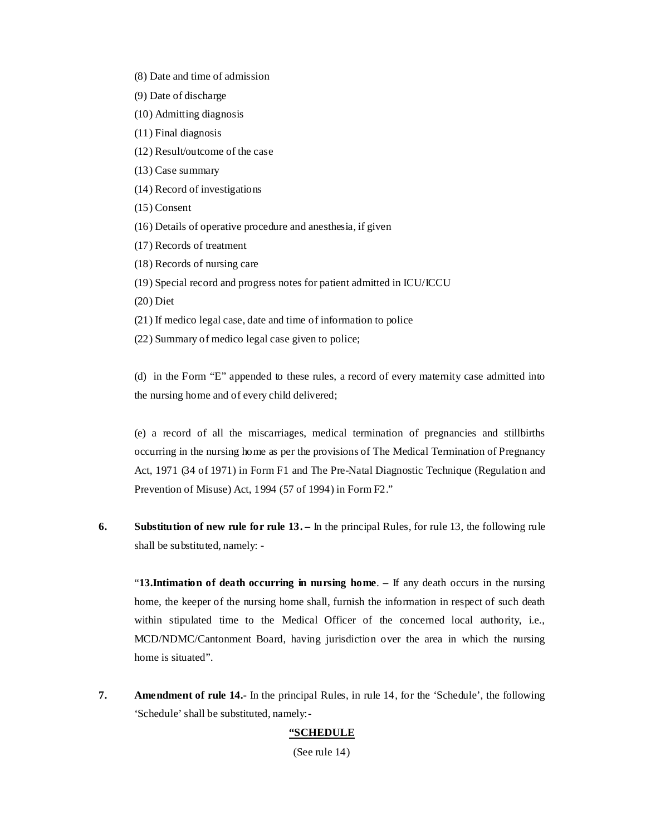- (8) Date and time of admission
- (9) Date of discharge
- (10) Admitting diagnosis
- (11) Final diagnosis
- (12) Result/outcome of the case
- (13) Case summary
- (14) Record of investigations
- (15) Consent
- (16) Details of operative procedure and anesthesia, if given
- (17) Records of treatment
- (18) Records of nursing care
- (19) Special record and progress notes for patient admitted in ICU/ICCU
- (20) Diet
- (21) If medico legal case, date and time of information to police
- (22) Summary of medico legal case given to police;

(d) in the Form "E" appended to these rules, a record of every maternity case admitted into the nursing home and of every child delivered;

(e) a record of all the miscarriages, medical termination of pregnancies and stillbirths occurring in the nursing home as per the provisions of The Medical Termination of Pregnancy Act, 1971 (34 of 1971) in Form F1 and The Pre-Natal Diagnostic Technique (Regulation and Prevention of Misuse) Act, 1994 (57 of 1994) in Form F2."

**6.** Substitution of new rule for rule 13. – In the principal Rules, for rule 13, the following rule shall be substituted, namely: -

"**13.Intimation of death occurring in nursing home**. **–** If any death occurs in the nursing home, the keeper of the nursing home shall, furnish the information in respect of such death within stipulated time to the Medical Officer of the concerned local authority, i.e., MCD/NDMC/Cantonment Board, having jurisdiction over the area in which the nursing home is situated".

**7. Amendment of rule 14.-** In the principal Rules, in rule 14, for the 'Schedule', the following 'Schedule' shall be substituted, namely:-

## **"SCHEDULE**

(See rule 14)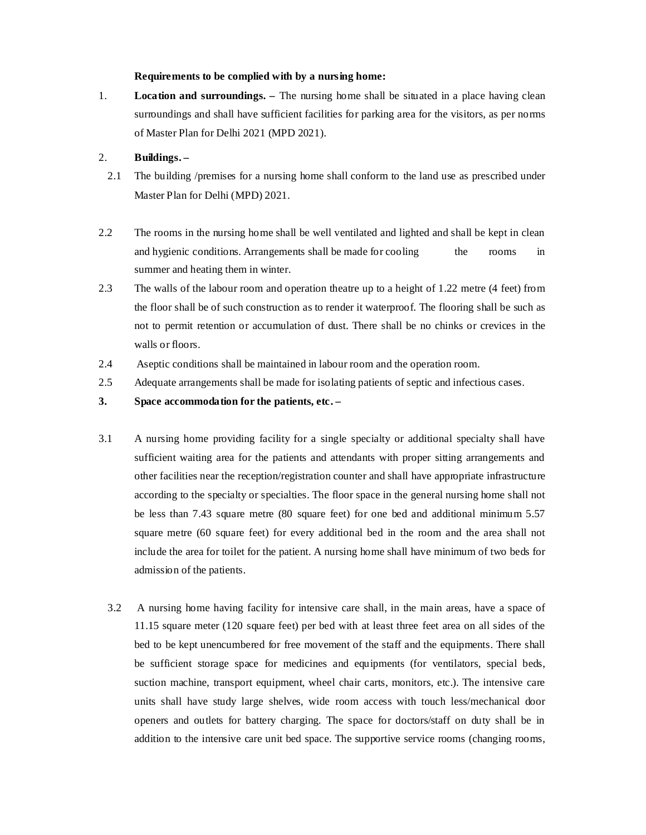#### **Requirements to be complied with by a nursing home:**

1. **Location and surroundings. –** The nursing home shall be situated in a place having clean surroundings and shall have sufficient facilities for parking area for the visitors, as per norms of Master Plan for Delhi 2021 (MPD 2021).

#### 2. **Buildings. –**

- 2.1 The building /premises for a nursing home shall conform to the land use as prescribed under Master Plan for Delhi (MPD) 2021.
- 2.2 The rooms in the nursing home shall be well ventilated and lighted and shall be kept in clean and hygienic conditions. Arrangements shall be made for cooling the rooms in summer and heating them in winter.
- 2.3 The walls of the labour room and operation theatre up to a height of 1.22 metre (4 feet) from the floor shall be of such construction as to render it waterproof. The flooring shall be such as not to permit retention or accumulation of dust. There shall be no chinks or crevices in the walls or floors.
- 2.4 Aseptic conditions shall be maintained in labour room and the operation room.
- 2.5 Adequate arrangements shall be made for isolating patients of septic and infectious cases.
- **3. Space accommodation for the patients, etc.**
- 3.1 A nursing home providing facility for a single specialty or additional specialty shall have sufficient waiting area for the patients and attendants with proper sitting arrangements and other facilities near the reception/registration counter and shall have appropriate infrastructure according to the specialty or specialties. The floor space in the general nursing home shall not be less than 7.43 square metre (80 square feet) for one bed and additional minimum 5.57 square metre (60 square feet) for every additional bed in the room and the area shall not include the area for toilet for the patient. A nursing home shall have minimum of two beds for admission of the patients.
	- 3.2 A nursing home having facility for intensive care shall, in the main areas, have a space of 11.15 square meter (120 square feet) per bed with at least three feet area on all sides of the bed to be kept unencumbered for free movement of the staff and the equipments. There shall be sufficient storage space for medicines and equipments (for ventilators, special beds, suction machine, transport equipment, wheel chair carts, monitors, etc.). The intensive care units shall have study large shelves, wide room access with touch less/mechanical door openers and outlets for battery charging. The space for doctors/staff on duty shall be in addition to the intensive care unit bed space. The supportive service rooms (changing rooms,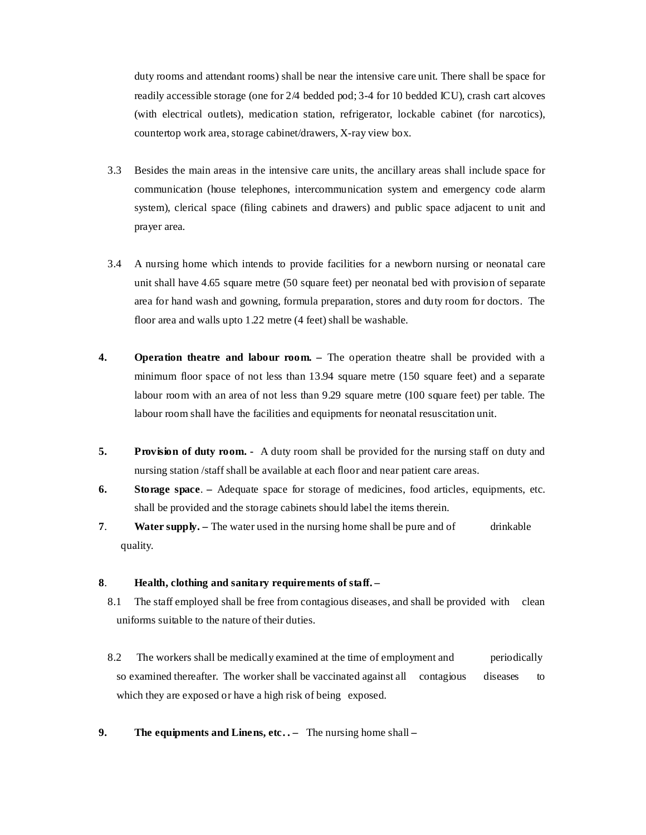duty rooms and attendant rooms) shall be near the intensive care unit. There shall be space for readily accessible storage (one for 2/4 bedded pod; 3-4 for 10 bedded ICU), crash cart alcoves (with electrical outlets), medication station, refrigerator, lockable cabinet (for narcotics), countertop work area, storage cabinet/drawers, X-ray view box.

- 3.3 Besides the main areas in the intensive care units, the ancillary areas shall include space for communication (house telephones, intercommunication system and emergency code alarm system), clerical space (filing cabinets and drawers) and public space adjacent to unit and prayer area.
- 3.4 A nursing home which intends to provide facilities for a newborn nursing or neonatal care unit shall have 4.65 square metre (50 square feet) per neonatal bed with provision of separate area for hand wash and gowning, formula preparation, stores and duty room for doctors. The floor area and walls upto 1.22 metre (4 feet) shall be washable.
- **4. Operation theatre and labour room. –** The operation theatre shall be provided with a minimum floor space of not less than 13.94 square metre (150 square feet) and a separate labour room with an area of not less than 9.29 square metre (100 square feet) per table. The labour room shall have the facilities and equipments for neonatal resuscitation unit.
- **5.** Provision of duty room. A duty room shall be provided for the nursing staff on duty and nursing station /staff shall be available at each floor and near patient care areas.
- **6. Storage space**.Adequate space for storage of medicines, food articles, equipments, etc. shall be provided and the storage cabinets should label the items therein.
- **7. Water supply.** The water used in the nursing home shall be pure and of drinkable quality.

#### **8**. **Health, clothing and sanitary requirements of staff. –**

- 8.1 The staff employed shall be free from contagious diseases, and shall be provided with clean uniforms suitable to the nature of their duties.
- 8.2 The workers shall be medically examined at the time of employment and periodically so examined thereafter. The worker shall be vaccinated against all contagious diseases to which they are exposed or have a high risk of being exposed.
- **9. The equipments and Linens, etc. .** The nursing home shall **–**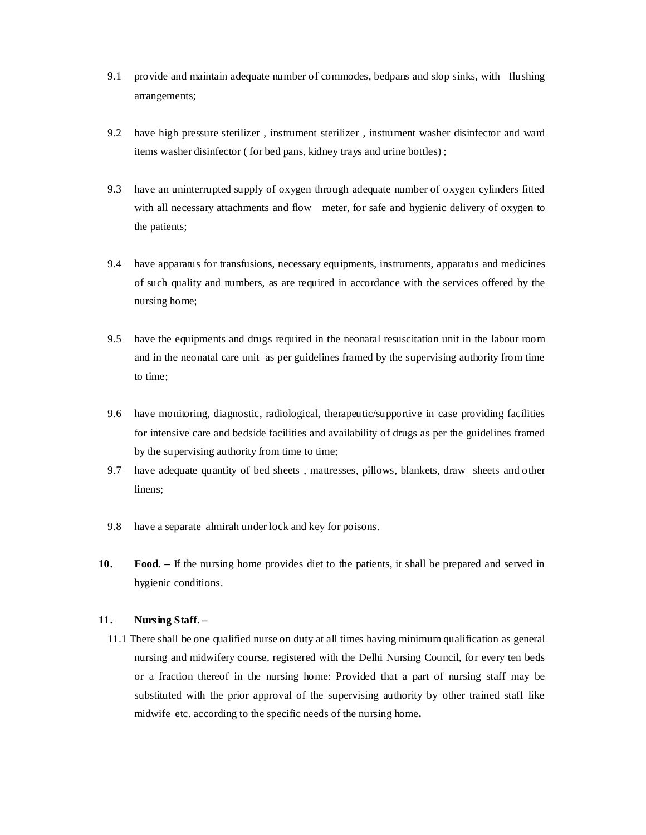- 9.1 provide and maintain adequate number of commodes, bedpans and slop sinks, with flushing arrangements;
- 9.2 have high pressure sterilizer , instrument sterilizer , instrument washer disinfector and ward items washer disinfector ( for bed pans, kidney trays and urine bottles) ;
- 9.3 have an uninterrupted supply of oxygen through adequate number of oxygen cylinders fitted with all necessary attachments and flow meter, for safe and hygienic delivery of oxygen to the patients;
- 9.4 have apparatus for transfusions, necessary equipments, instruments, apparatus and medicines of such quality and numbers, as are required in accordance with the services offered by the nursing home;
- 9.5 have the equipments and drugs required in the neonatal resuscitation unit in the labour room and in the neonatal care unit as per guidelines framed by the supervising authority from time to time;
- 9.6 have monitoring, diagnostic, radiological, therapeutic/supportive in case providing facilities for intensive care and bedside facilities and availability of drugs as per the guidelines framed by the supervising authority from time to time;
- 9.7 have adequate quantity of bed sheets , mattresses, pillows, blankets, draw sheets and other linens;
- 9.8 have a separate almirah under lock and key for poisons.
- **10. Food.** If the nursing home provides diet to the patients, it shall be prepared and served in hygienic conditions.

### **11. Nursing Staff. –**

11.1 There shall be one qualified nurse on duty at all times having minimum qualification as general nursing and midwifery course, registered with the Delhi Nursing Council, for every ten beds or a fraction thereof in the nursing home: Provided that a part of nursing staff may be substituted with the prior approval of the supervising authority by other trained staff like midwife etc. according to the specific needs of the nursing home**.**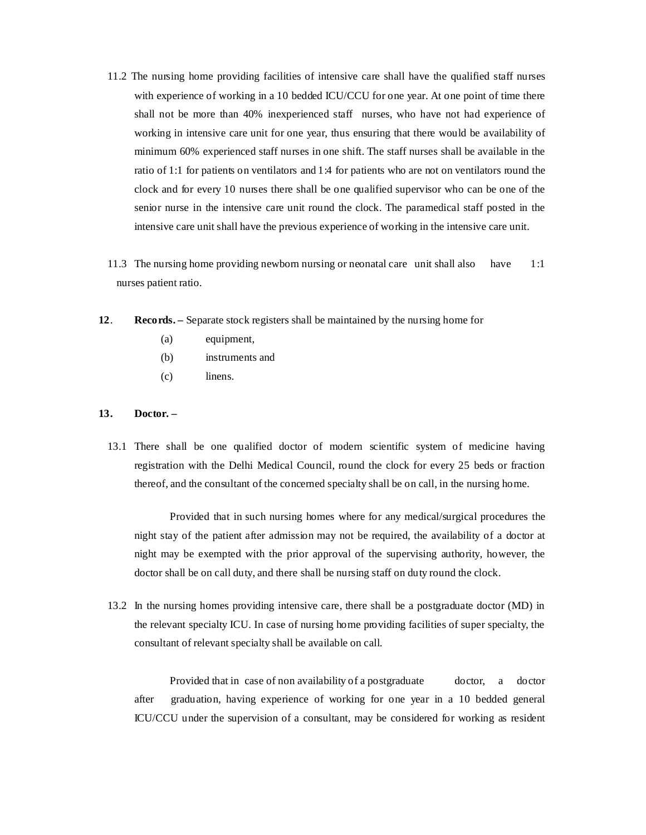- 11.2 The nursing home providing facilities of intensive care shall have the qualified staff nurses with experience of working in a 10 bedded ICU/CCU for one year. At one point of time there shall not be more than 40% inexperienced staff nurses, who have not had experience of working in intensive care unit for one year, thus ensuring that there would be availability of minimum 60% experienced staff nurses in one shift. The staff nurses shall be available in the ratio of 1:1 for patients on ventilators and 1:4 for patients who are not on ventilators round the clock and for every 10 nurses there shall be one qualified supervisor who can be one of the senior nurse in the intensive care unit round the clock. The paramedical staff posted in the intensive care unit shall have the previous experience of working in the intensive care unit.
- 11.3 The nursing home providing newborn nursing or neonatal care unit shall also have 1:1 nurses patient ratio.
- **12**. **Records.** Separate stock registers shall be maintained by the nursing home for
	- (a) equipment,
	- (b) instruments and
	- (c) linens.

### **13. Doctor. –**

13.1 There shall be one qualified doctor of modern scientific system of medicine having registration with the Delhi Medical Council, round the clock for every 25 beds or fraction thereof, and the consultant of the concerned specialty shall be on call, in the nursing home.

Provided that in such nursing homes where for any medical/surgical procedures the night stay of the patient after admission may not be required, the availability of a doctor at night may be exempted with the prior approval of the supervising authority, however, the doctor shall be on call duty, and there shall be nursing staff on duty round the clock.

13.2 In the nursing homes providing intensive care, there shall be a postgraduate doctor (MD) in the relevant specialty ICU. In case of nursing home providing facilities of super specialty, the consultant of relevant specialty shall be available on call.

 Provided that in case of non availability of a postgraduate doctor, a doctor after graduation, having experience of working for one year in a 10 bedded general ICU/CCU under the supervision of a consultant, may be considered for working as resident